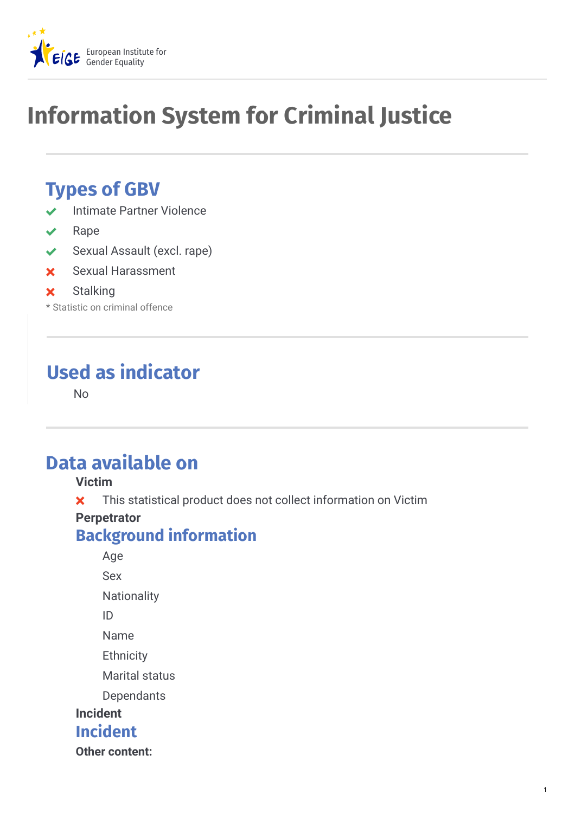

# **Information System for Criminal Justice**

# **Types of GBV**

- Intimate Partner Violence
- Rape
- Sexual Assault (excl. rape)
- Sexual Harassment

#### **x** Stalking

\* Statistic on criminal offence

# **Used as indicator**

No

## **Data available on**

#### **Victim**

**x** This statistical product does not collect information on Victim

#### **Perpetrator**

#### **Background information**

Age Sex **Nationality** ID Name **Ethnicity** Marital status Dependants **Incident**

#### **Incident**

**Other content:**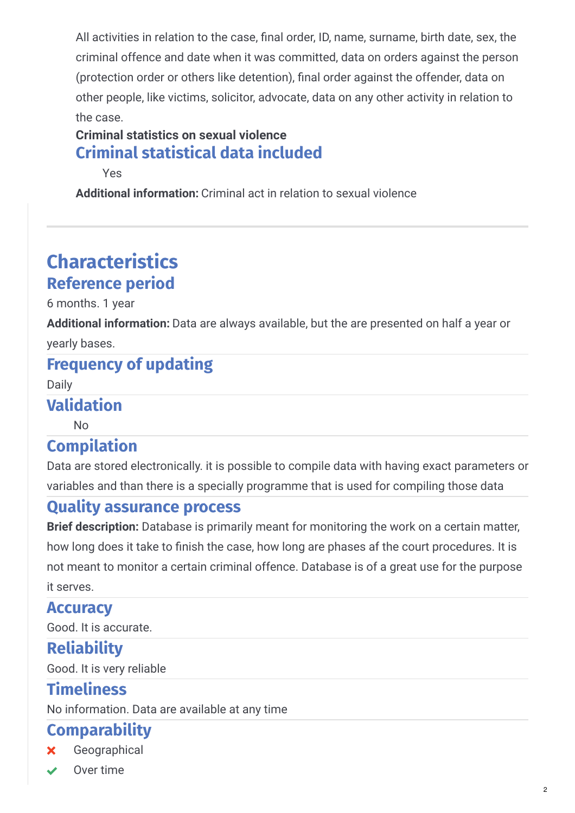All activities in relation to the case, final order, ID, name, surname, birth date, sex, the criminal offence and date when it was committed, data on orders against the person (protection order or others like detention), final order against the offender, data on other people, like victims, solicitor, advocate, data on any other activity in relation to the case.

#### **Criminal statistics on sexual violence Criminal statistical data included**

Yes

**Additional information:** Criminal act in relation to sexual violence

# **Characteristics Reference period**

6 months. 1 year

Additional information: Data are always available, but the are presented on half a year or yearly bases.

### **Frequency of updating**

Daily

#### **Validation**

No

### **Compilation**

Data are stored electronically. it is possible to compile data with having exact parameters or variables and than there is a specially programme that is used for compiling those data

#### **Quality assurance process**

**Brief description:** Database is primarily meant for monitoring the work on a certain matter, how long does it take to finish the case, how long are phases af the court procedures. It is not meant to monitor a certain criminal offence. Database is of a great use for the purpose it serves.

#### **Accuracy**

Good. It is accurate.

#### **Reliability**

Good. It is very reliable

### **Timeliness**

No information. Data are available at any time

### **Comparability**

Geographical

Over time